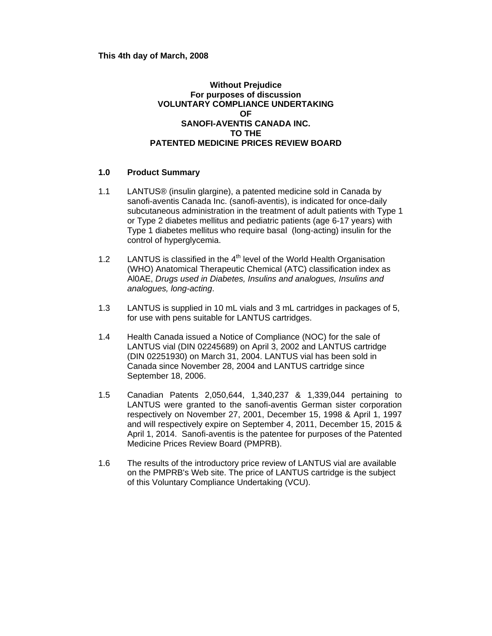**This 4th day of March, 2008** 

### **Without Prejudice For purposes of discussion VOLUNTARY COMPLIANCE UNDERTAKING OF SANOFI-AVENTIS CANADA INC. TO THE PATENTED MEDICINE PRICES REVIEW BOARD**

#### **1.0 Product Summary**

- 1.1 LANTUS® (insulin glargine), a patented medicine sold in Canada by sanofi-aventis Canada Inc. (sanofi-aventis), is indicated for once-daily subcutaneous administration in the treatment of adult patients with Type 1 or Type 2 diabetes mellitus and pediatric patients (age 6-17 years) with Type 1 diabetes mellitus who require basal (long-acting) insulin for the control of hyperglycemia.
- 1.2 LANTUS is classified in the  $4<sup>th</sup>$  level of the World Health Organisation (WHO) Anatomical Therapeutic Chemical (ATC) classification index as Al0AE, *Drugs used in Diabetes, Insulins and analogues, Insulins and analogues, long-acting*.
- 1.3 LANTUS is supplied in 10 mL vials and 3 mL cartridges in packages of 5, for use with pens suitable for LANTUS cartridges.
- 1.4 Health Canada issued a Notice of Compliance (NOC) for the sale of LANTUS vial (DIN 02245689) on April 3, 2002 and LANTUS cartridge (DIN 02251930) on March 31, 2004. LANTUS vial has been sold in Canada since November 28, 2004 and LANTUS cartridge since September 18, 2006.
- 1.5 Canadian Patents 2,050,644, 1,340,237 & 1,339,044 pertaining to LANTUS were granted to the sanofi-aventis German sister corporation respectively on November 27, 2001, December 15, 1998 & April 1, 1997 and will respectively expire on September 4, 2011, December 15, 2015 & April 1, 2014. Sanofi-aventis is the patentee for purposes of the Patented Medicine Prices Review Board (PMPRB).
- 1.6 The results of the introductory price review of LANTUS vial are available on the PMPRB's Web site. The price of LANTUS cartridge is the subject of this Voluntary Compliance Undertaking (VCU).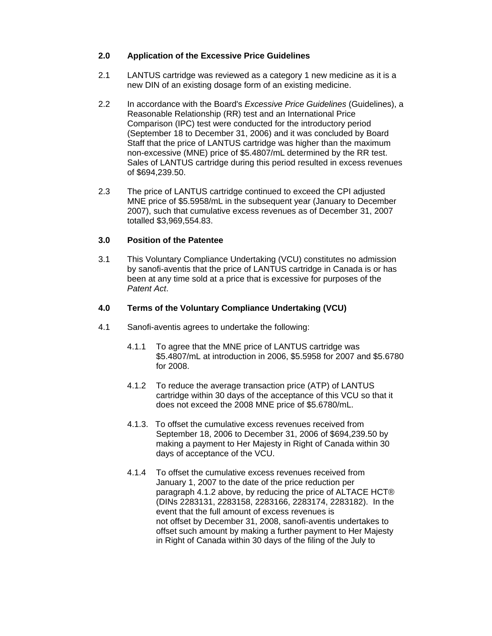### **2.0 Application of the Excessive Price Guidelines**

- 2.1 LANTUS cartridge was reviewed as a category 1 new medicine as it is a new DIN of an existing dosage form of an existing medicine.
- 2.2 In accordance with the Board's *Excessive Price Guidelines* (Guidelines), a Reasonable Relationship (RR) test and an International Price Comparison (IPC) test were conducted for the introductory period (September 18 to December 31, 2006) and it was concluded by Board Staff that the price of LANTUS cartridge was higher than the maximum non-excessive (MNE) price of \$5.4807/mL determined by the RR test. Sales of LANTUS cartridge during this period resulted in excess revenues of \$694,239.50.
- 2.3 The price of LANTUS cartridge continued to exceed the CPI adjusted MNE price of \$5.5958/mL in the subsequent year (January to December 2007), such that cumulative excess revenues as of December 31, 2007 totalled \$3,969,554.83.

# **3.0 Position of the Patentee**

3.1 This Voluntary Compliance Undertaking (VCU) constitutes no admission by sanofi-aventis that the price of LANTUS cartridge in Canada is or has been at any time sold at a price that is excessive for purposes of the *Patent Act*.

# **4.0 Terms of the Voluntary Compliance Undertaking (VCU)**

- 4.1 Sanofi-aventis agrees to undertake the following:
	- 4.1.1 To agree that the MNE price of LANTUS cartridge was \$5.4807/mL at introduction in 2006, \$5.5958 for 2007 and \$5.6780 for 2008.
	- 4.1.2 To reduce the average transaction price (ATP) of LANTUS cartridge within 30 days of the acceptance of this VCU so that it does not exceed the 2008 MNE price of \$5.6780/mL.
	- 4.1.3. To offset the cumulative excess revenues received from September 18, 2006 to December 31, 2006 of \$694,239.50 by making a payment to Her Majesty in Right of Canada within 30 days of acceptance of the VCU.
	- 4.1.4 To offset the cumulative excess revenues received from January 1, 2007 to the date of the price reduction per paragraph 4.1.2 above, by reducing the price of ALTACE HCT® (DINs 2283131, 2283158, 2283166, 2283174, 2283182). In the event that the full amount of excess revenues is not offset by December 31, 2008, sanofi-aventis undertakes to offset such amount by making a further payment to Her Majesty in Right of Canada within 30 days of the filing of the July to